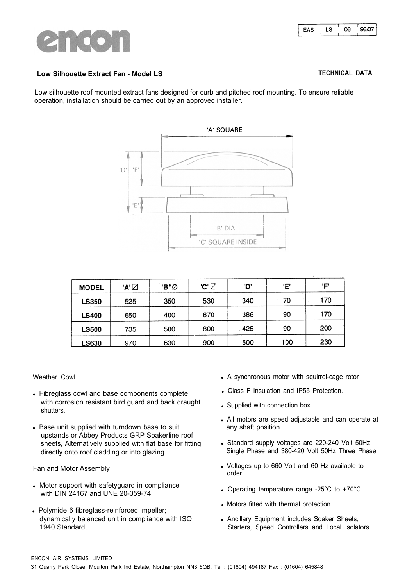

# **Low Silhouette Extract Fan - Model LS TECHNICAL DATA**

Low silhouette roof mounted extract fans designed for curb and pitched roof mounting. To ensure reliable operation, installation should be carried out by an approved installer.



| <b>MODEL</b> | 'A' ⊠ | 'B"Ø | 'C' ☑ | 'D' | Έ   | 'F' |
|--------------|-------|------|-------|-----|-----|-----|
| <b>LS350</b> | 525   | 350  | 530   | 340 | 70  | 170 |
| <b>LS400</b> | 650   | 400  | 670   | 386 | 90  | 170 |
| <b>LS500</b> | 735   | 500  | 800   | 425 | 90  | 200 |
| <b>LS630</b> | 970   | 630  | 900   | 500 | 100 | 230 |

Weather CowI

- Fibreglass cowl and base components complete with corrosion resistant bird guard and back draught shutters.
- Base unit supplied with turndown base to suit upstands or Abbey Products GRP Soakerline roof sheets, Alternatively supplied with flat base for fitting directly onto roof cladding or into glazing.

Fan and Motor Assembly

- Motor support with safetyguard in compliance with DIN 24167 and UNE 20-359-74.
- Polymide 6 fibreglass-reinforced impeller; dynamically balanced unit in compliance with ISO 1940 Standard,
- A synchronous motor with squirrel-cage rotor
- Class F Insulation and IP55 Protection.
- Supplied with connection box.
- All motors are speed adjustable and can operate at any shaft position.
- Standard supply voltages are 220-240 Volt 50Hz Single Phase and 380-420 Volt 50Hz Three Phase.
- Voltages up to 660 Volt and 60 Hz available to order.
- Operating temperature range -25°C to +70°C
- Motors fitted with thermal protection.
- Ancillary Equipment includes Soaker Sheets, Starters, Speed Controllers and Local Isolators.